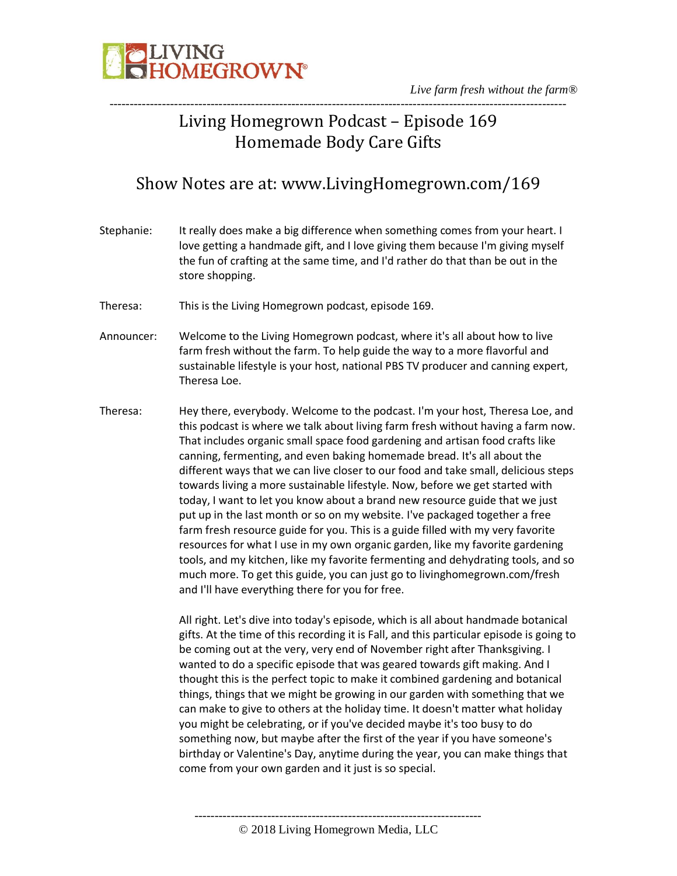

# Living Homegrown Podcast – Episode 169 Homemade Body Care Gifts

# Show Notes are at: www.LivingHomegrown.com/169

- Stephanie: It really does make a big difference when something comes from your heart. I love getting a handmade gift, and I love giving them because I'm giving myself the fun of crafting at the same time, and I'd rather do that than be out in the store shopping. Theresa: This is the Living Homegrown podcast, episode 169. Announcer: Welcome to the Living Homegrown podcast, where it's all about how to live farm fresh without the farm. To help guide the way to a more flavorful and sustainable lifestyle is your host, national PBS TV producer and canning expert, Theresa Loe. Theresa: Hey there, everybody. Welcome to the podcast. I'm your host, Theresa Loe, and this podcast is where we talk about living farm fresh without having a farm now. That includes organic small space food gardening and artisan food crafts like canning, fermenting, and even baking homemade bread. It's all about the different ways that we can live closer to our food and take small, delicious steps towards living a more sustainable lifestyle. Now, before we get started with
	- today, I want to let you know about a brand new resource guide that we just put up in the last month or so on my website. I've packaged together a free farm fresh resource guide for you. This is a guide filled with my very favorite resources for what I use in my own organic garden, like my favorite gardening tools, and my kitchen, like my favorite fermenting and dehydrating tools, and so much more. To get this guide, you can just go to livinghomegrown.com/fresh and I'll have everything there for you for free.

All right. Let's dive into today's episode, which is all about handmade botanical gifts. At the time of this recording it is Fall, and this particular episode is going to be coming out at the very, very end of November right after Thanksgiving. I wanted to do a specific episode that was geared towards gift making. And I thought this is the perfect topic to make it combined gardening and botanical things, things that we might be growing in our garden with something that we can make to give to others at the holiday time. It doesn't matter what holiday you might be celebrating, or if you've decided maybe it's too busy to do something now, but maybe after the first of the year if you have someone's birthday or Valentine's Day, anytime during the year, you can make things that come from your own garden and it just is so special.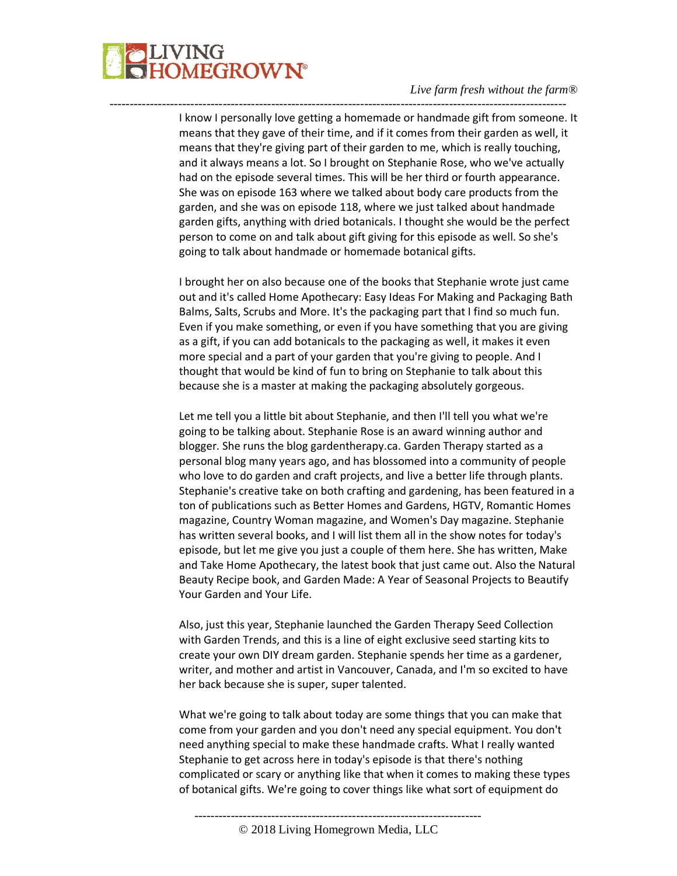

I know I personally love getting a homemade or handmade gift from someone. It means that they gave of their time, and if it comes from their garden as well, it means that they're giving part of their garden to me, which is really touching, and it always means a lot. So I brought on Stephanie Rose, who we've actually had on the episode several times. This will be her third or fourth appearance. She was on episode 163 where we talked about body care products from the garden, and she was on episode 118, where we just talked about handmade garden gifts, anything with dried botanicals. I thought she would be the perfect person to come on and talk about gift giving for this episode as well. So she's going to talk about handmade or homemade botanical gifts.

-----------------------------------------------------------------------------------------------------------------

I brought her on also because one of the books that Stephanie wrote just came out and it's called Home Apothecary: Easy Ideas For Making and Packaging Bath Balms, Salts, Scrubs and More. It's the packaging part that I find so much fun. Even if you make something, or even if you have something that you are giving as a gift, if you can add botanicals to the packaging as well, it makes it even more special and a part of your garden that you're giving to people. And I thought that would be kind of fun to bring on Stephanie to talk about this because she is a master at making the packaging absolutely gorgeous.

Let me tell you a little bit about Stephanie, and then I'll tell you what we're going to be talking about. Stephanie Rose is an award winning author and blogger. She runs the blog gardentherapy.ca. Garden Therapy started as a personal blog many years ago, and has blossomed into a community of people who love to do garden and craft projects, and live a better life through plants. Stephanie's creative take on both crafting and gardening, has been featured in a ton of publications such as Better Homes and Gardens, HGTV, Romantic Homes magazine, Country Woman magazine, and Women's Day magazine. Stephanie has written several books, and I will list them all in the show notes for today's episode, but let me give you just a couple of them here. She has written, Make and Take Home Apothecary, the latest book that just came out. Also the Natural Beauty Recipe book, and Garden Made: A Year of Seasonal Projects to Beautify Your Garden and Your Life.

Also, just this year, Stephanie launched the Garden Therapy Seed Collection with Garden Trends, and this is a line of eight exclusive seed starting kits to create your own DIY dream garden. Stephanie spends her time as a gardener, writer, and mother and artist in Vancouver, Canada, and I'm so excited to have her back because she is super, super talented.

What we're going to talk about today are some things that you can make that come from your garden and you don't need any special equipment. You don't need anything special to make these handmade crafts. What I really wanted Stephanie to get across here in today's episode is that there's nothing complicated or scary or anything like that when it comes to making these types of botanical gifts. We're going to cover things like what sort of equipment do

-----------------------------------------------------------------------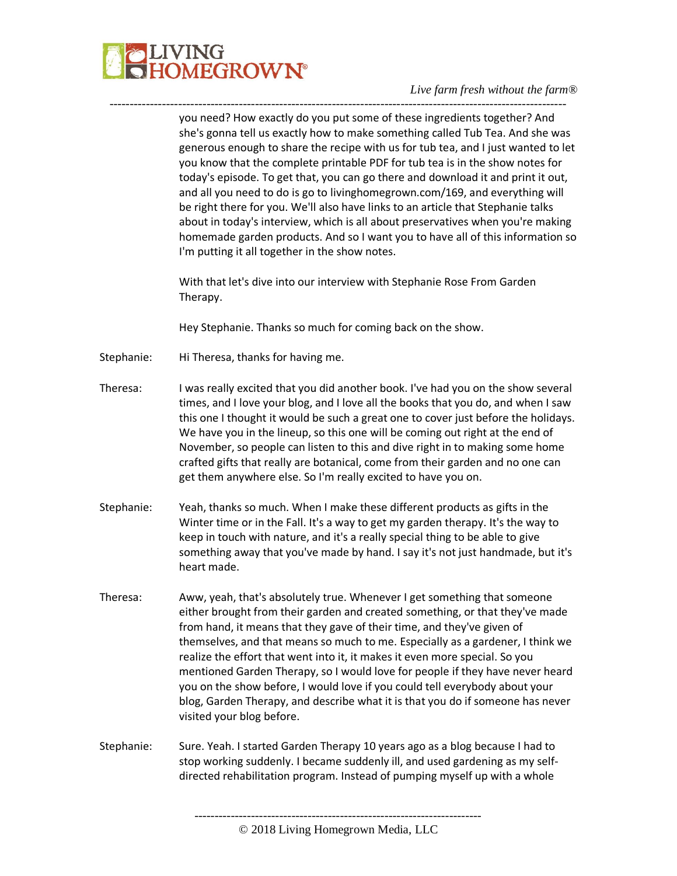

you need? How exactly do you put some of these ingredients together? And she's gonna tell us exactly how to make something called Tub Tea. And she was generous enough to share the recipe with us for tub tea, and I just wanted to let you know that the complete printable PDF for tub tea is in the show notes for today's episode. To get that, you can go there and download it and print it out, and all you need to do is go to livinghomegrown.com/169, and everything will be right there for you. We'll also have links to an article that Stephanie talks about in today's interview, which is all about preservatives when you're making homemade garden products. And so I want you to have all of this information so I'm putting it all together in the show notes.

With that let's dive into our interview with Stephanie Rose From Garden Therapy.

Hey Stephanie. Thanks so much for coming back on the show.

-----------------------------------------------------------------------------------------------------------------

- Stephanie: Hi Theresa, thanks for having me.
- Theresa: I was really excited that you did another book. I've had you on the show several times, and I love your blog, and I love all the books that you do, and when I saw this one I thought it would be such a great one to cover just before the holidays. We have you in the lineup, so this one will be coming out right at the end of November, so people can listen to this and dive right in to making some home crafted gifts that really are botanical, come from their garden and no one can get them anywhere else. So I'm really excited to have you on.
- Stephanie: Yeah, thanks so much. When I make these different products as gifts in the Winter time or in the Fall. It's a way to get my garden therapy. It's the way to keep in touch with nature, and it's a really special thing to be able to give something away that you've made by hand. I say it's not just handmade, but it's heart made.
- Theresa: Aww, yeah, that's absolutely true. Whenever I get something that someone either brought from their garden and created something, or that they've made from hand, it means that they gave of their time, and they've given of themselves, and that means so much to me. Especially as a gardener, I think we realize the effort that went into it, it makes it even more special. So you mentioned Garden Therapy, so I would love for people if they have never heard you on the show before, I would love if you could tell everybody about your blog, Garden Therapy, and describe what it is that you do if someone has never visited your blog before.
- Stephanie: Sure. Yeah. I started Garden Therapy 10 years ago as a blog because I had to stop working suddenly. I became suddenly ill, and used gardening as my selfdirected rehabilitation program. Instead of pumping myself up with a whole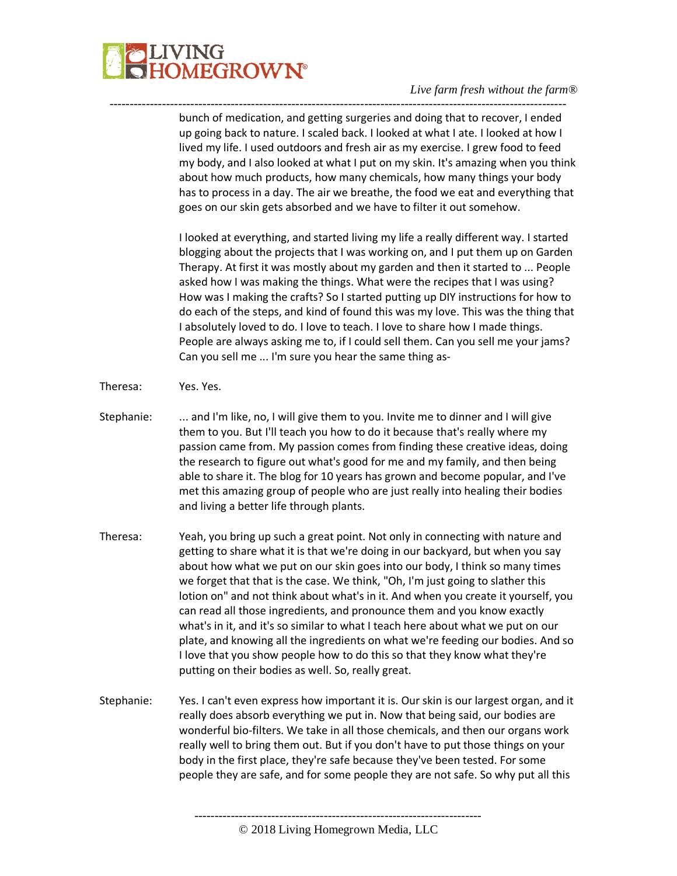

---------------------------------------------------------------------------------------------------------------- bunch of medication, and getting surgeries and doing that to recover, I ended up going back to nature. I scaled back. I looked at what I ate. I looked at how I lived my life. I used outdoors and fresh air as my exercise. I grew food to feed my body, and I also looked at what I put on my skin. It's amazing when you think about how much products, how many chemicals, how many things your body has to process in a day. The air we breathe, the food we eat and everything that goes on our skin gets absorbed and we have to filter it out somehow.

> I looked at everything, and started living my life a really different way. I started blogging about the projects that I was working on, and I put them up on Garden Therapy. At first it was mostly about my garden and then it started to ... People asked how I was making the things. What were the recipes that I was using? How was I making the crafts? So I started putting up DIY instructions for how to do each of the steps, and kind of found this was my love. This was the thing that I absolutely loved to do. I love to teach. I love to share how I made things. People are always asking me to, if I could sell them. Can you sell me your jams? Can you sell me ... I'm sure you hear the same thing as-

- Theresa: Yes. Yes.
- Stephanie: ... and I'm like, no, I will give them to you. Invite me to dinner and I will give them to you. But I'll teach you how to do it because that's really where my passion came from. My passion comes from finding these creative ideas, doing the research to figure out what's good for me and my family, and then being able to share it. The blog for 10 years has grown and become popular, and I've met this amazing group of people who are just really into healing their bodies and living a better life through plants.
- Theresa: Yeah, you bring up such a great point. Not only in connecting with nature and getting to share what it is that we're doing in our backyard, but when you say about how what we put on our skin goes into our body, I think so many times we forget that that is the case. We think, "Oh, I'm just going to slather this lotion on" and not think about what's in it. And when you create it yourself, you can read all those ingredients, and pronounce them and you know exactly what's in it, and it's so similar to what I teach here about what we put on our plate, and knowing all the ingredients on what we're feeding our bodies. And so I love that you show people how to do this so that they know what they're putting on their bodies as well. So, really great.
- Stephanie: Yes. I can't even express how important it is. Our skin is our largest organ, and it really does absorb everything we put in. Now that being said, our bodies are wonderful bio-filters. We take in all those chemicals, and then our organs work really well to bring them out. But if you don't have to put those things on your body in the first place, they're safe because they've been tested. For some people they are safe, and for some people they are not safe. So why put all this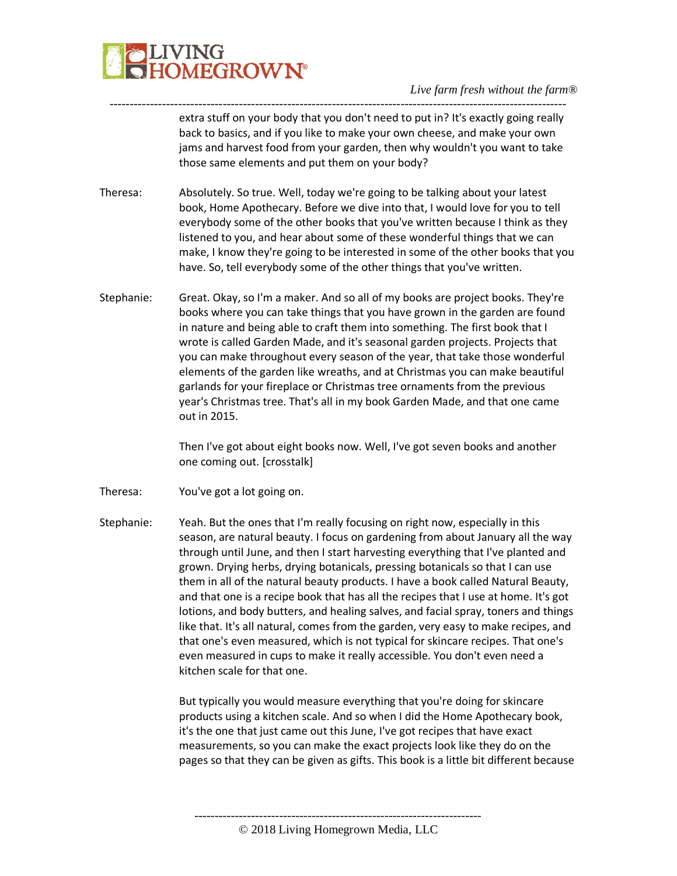

---------------------------------------------------------------------------------------------------------------- extra stuff on your body that you don't need to put in? It's exactly going really back to basics, and if you like to make your own cheese, and make your own jams and harvest food from your garden, then why wouldn't you want to take those same elements and put them on your body?

- Theresa: Absolutely. So true. Well, today we're going to be talking about your latest book, Home Apothecary. Before we dive into that, I would love for you to tell everybody some of the other books that you've written because I think as they listened to you, and hear about some of these wonderful things that we can make, I know they're going to be interested in some of the other books that you have. So, tell everybody some of the other things that you've written.
- Stephanie: Great. Okay, so I'm a maker. And so all of my books are project books. They're books where you can take things that you have grown in the garden are found in nature and being able to craft them into something. The first book that I wrote is called Garden Made, and it's seasonal garden projects. Projects that you can make throughout every season of the year, that take those wonderful elements of the garden like wreaths, and at Christmas you can make beautiful garlands for your fireplace or Christmas tree ornaments from the previous year's Christmas tree. That's all in my book Garden Made, and that one came out in 2015.

Then I've got about eight books now. Well, I've got seven books and another one coming out. [crosstalk]

- Theresa: You've got a lot going on.
- Stephanie: Yeah. But the ones that I'm really focusing on right now, especially in this season, are natural beauty. I focus on gardening from about January all the way through until June, and then I start harvesting everything that I've planted and grown. Drying herbs, drying botanicals, pressing botanicals so that I can use them in all of the natural beauty products. I have a book called Natural Beauty, and that one is a recipe book that has all the recipes that I use at home. It's got lotions, and body butters, and healing salves, and facial spray, toners and things like that. It's all natural, comes from the garden, very easy to make recipes, and that one's even measured, which is not typical for skincare recipes. That one's even measured in cups to make it really accessible. You don't even need a kitchen scale for that one.

But typically you would measure everything that you're doing for skincare products using a kitchen scale. And so when I did the Home Apothecary book, it's the one that just came out this June, I've got recipes that have exact measurements, so you can make the exact projects look like they do on the pages so that they can be given as gifts. This book is a little bit different because

-----------------------------------------------------------------------

© 2018 Living Homegrown Media, LLC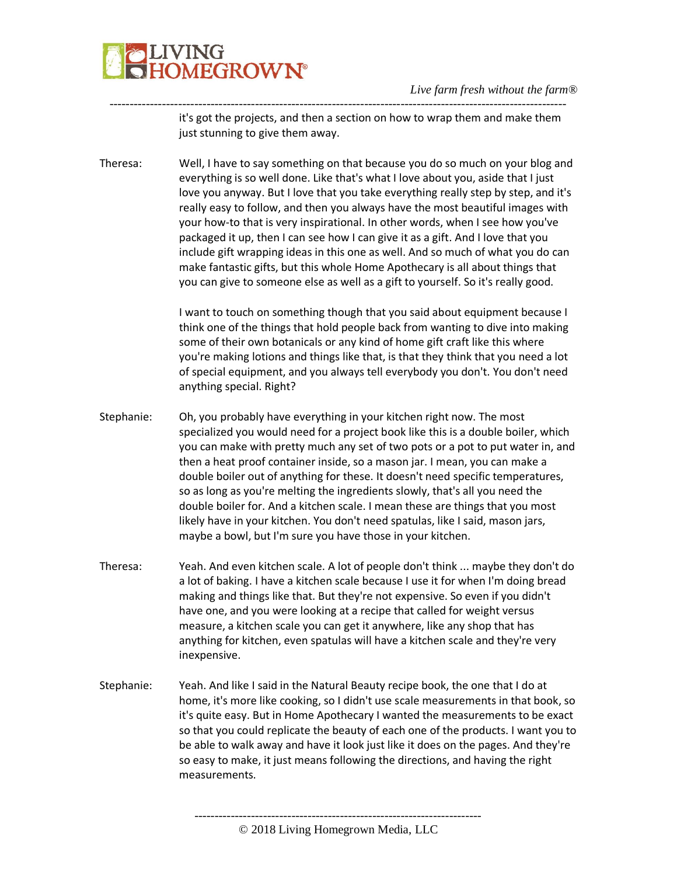

---------------------------------------------------------------------------------------------------------------- it's got the projects, and then a section on how to wrap them and make them just stunning to give them away.

Theresa: Well, I have to say something on that because you do so much on your blog and everything is so well done. Like that's what I love about you, aside that I just love you anyway. But I love that you take everything really step by step, and it's really easy to follow, and then you always have the most beautiful images with your how-to that is very inspirational. In other words, when I see how you've packaged it up, then I can see how I can give it as a gift. And I love that you include gift wrapping ideas in this one as well. And so much of what you do can make fantastic gifts, but this whole Home Apothecary is all about things that you can give to someone else as well as a gift to yourself. So it's really good.

> I want to touch on something though that you said about equipment because I think one of the things that hold people back from wanting to dive into making some of their own botanicals or any kind of home gift craft like this where you're making lotions and things like that, is that they think that you need a lot of special equipment, and you always tell everybody you don't. You don't need anything special. Right?

Stephanie: Oh, you probably have everything in your kitchen right now. The most specialized you would need for a project book like this is a double boiler, which you can make with pretty much any set of two pots or a pot to put water in, and then a heat proof container inside, so a mason jar. I mean, you can make a double boiler out of anything for these. It doesn't need specific temperatures, so as long as you're melting the ingredients slowly, that's all you need the double boiler for. And a kitchen scale. I mean these are things that you most likely have in your kitchen. You don't need spatulas, like I said, mason jars, maybe a bowl, but I'm sure you have those in your kitchen.

- Theresa: Yeah. And even kitchen scale. A lot of people don't think ... maybe they don't do a lot of baking. I have a kitchen scale because I use it for when I'm doing bread making and things like that. But they're not expensive. So even if you didn't have one, and you were looking at a recipe that called for weight versus measure, a kitchen scale you can get it anywhere, like any shop that has anything for kitchen, even spatulas will have a kitchen scale and they're very inexpensive.
- Stephanie: Yeah. And like I said in the Natural Beauty recipe book, the one that I do at home, it's more like cooking, so I didn't use scale measurements in that book, so it's quite easy. But in Home Apothecary I wanted the measurements to be exact so that you could replicate the beauty of each one of the products. I want you to be able to walk away and have it look just like it does on the pages. And they're so easy to make, it just means following the directions, and having the right measurements.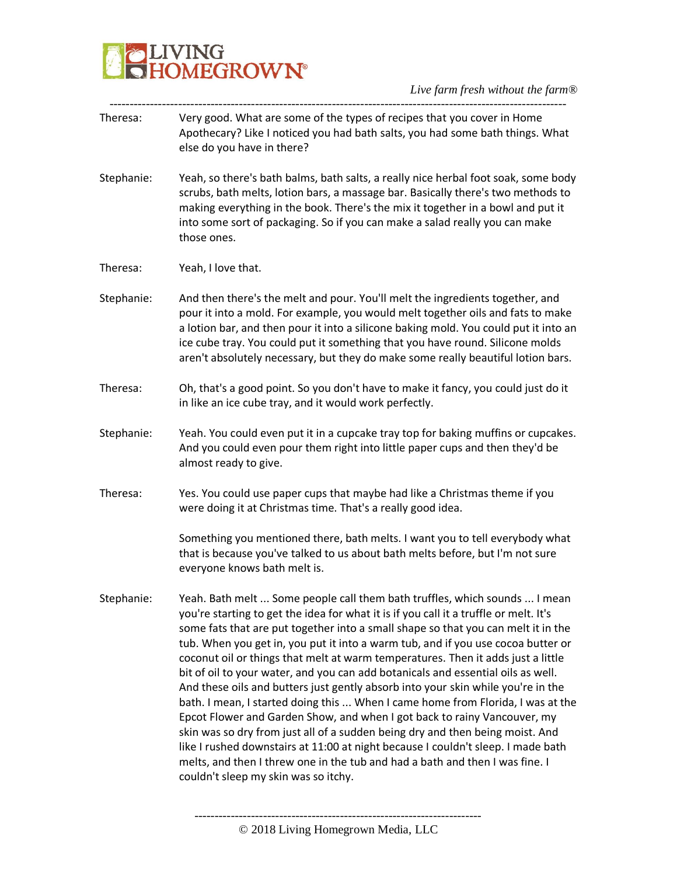

- ----------------------------------------------------------------------------------------------------------------- Theresa: Very good. What are some of the types of recipes that you cover in Home Apothecary? Like I noticed you had bath salts, you had some bath things. What else do you have in there?
- Stephanie: Yeah, so there's bath balms, bath salts, a really nice herbal foot soak, some body scrubs, bath melts, lotion bars, a massage bar. Basically there's two methods to making everything in the book. There's the mix it together in a bowl and put it into some sort of packaging. So if you can make a salad really you can make those ones.
- Theresa: Yeah, I love that.
- Stephanie: And then there's the melt and pour. You'll melt the ingredients together, and pour it into a mold. For example, you would melt together oils and fats to make a lotion bar, and then pour it into a silicone baking mold. You could put it into an ice cube tray. You could put it something that you have round. Silicone molds aren't absolutely necessary, but they do make some really beautiful lotion bars.
- Theresa: Oh, that's a good point. So you don't have to make it fancy, you could just do it in like an ice cube tray, and it would work perfectly.
- Stephanie: Yeah. You could even put it in a cupcake tray top for baking muffins or cupcakes. And you could even pour them right into little paper cups and then they'd be almost ready to give.
- Theresa: Yes. You could use paper cups that maybe had like a Christmas theme if you were doing it at Christmas time. That's a really good idea.

Something you mentioned there, bath melts. I want you to tell everybody what that is because you've talked to us about bath melts before, but I'm not sure everyone knows bath melt is.

Stephanie: Yeah. Bath melt ... Some people call them bath truffles, which sounds ... I mean you're starting to get the idea for what it is if you call it a truffle or melt. It's some fats that are put together into a small shape so that you can melt it in the tub. When you get in, you put it into a warm tub, and if you use cocoa butter or coconut oil or things that melt at warm temperatures. Then it adds just a little bit of oil to your water, and you can add botanicals and essential oils as well. And these oils and butters just gently absorb into your skin while you're in the bath. I mean, I started doing this ... When I came home from Florida, I was at the Epcot Flower and Garden Show, and when I got back to rainy Vancouver, my skin was so dry from just all of a sudden being dry and then being moist. And like I rushed downstairs at 11:00 at night because I couldn't sleep. I made bath melts, and then I threw one in the tub and had a bath and then I was fine. I couldn't sleep my skin was so itchy.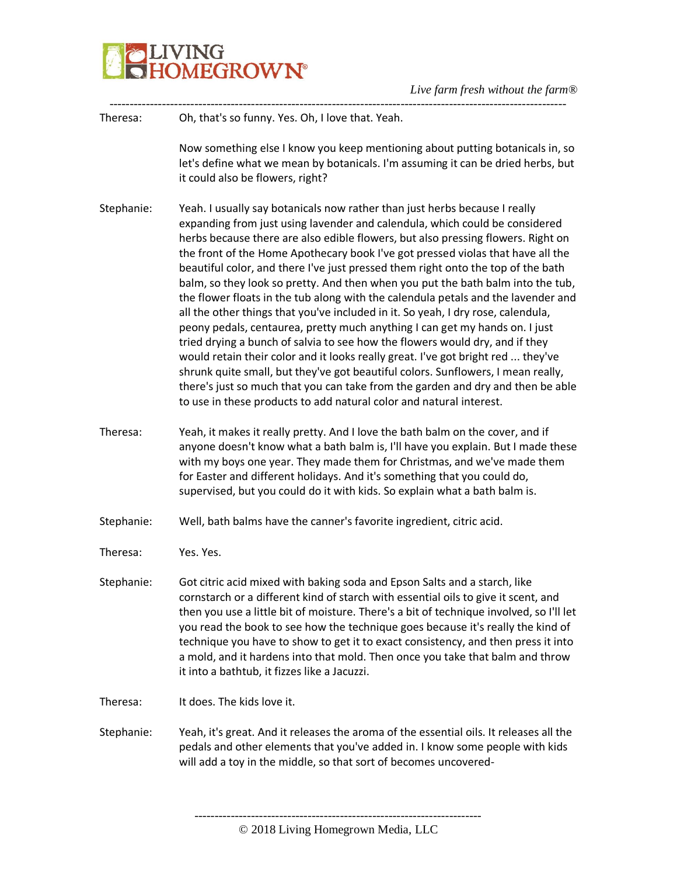

| Theresa:   | Oh, that's so funny. Yes. Oh, I love that. Yeah.                                                                                                                                                                                                                                                                                                                                                                                                                                                                                                                                                                                                                                                                                                                                                                                                                                                                                                                                                                                                                                                                                                                                  |
|------------|-----------------------------------------------------------------------------------------------------------------------------------------------------------------------------------------------------------------------------------------------------------------------------------------------------------------------------------------------------------------------------------------------------------------------------------------------------------------------------------------------------------------------------------------------------------------------------------------------------------------------------------------------------------------------------------------------------------------------------------------------------------------------------------------------------------------------------------------------------------------------------------------------------------------------------------------------------------------------------------------------------------------------------------------------------------------------------------------------------------------------------------------------------------------------------------|
|            | Now something else I know you keep mentioning about putting botanicals in, so<br>let's define what we mean by botanicals. I'm assuming it can be dried herbs, but<br>it could also be flowers, right?                                                                                                                                                                                                                                                                                                                                                                                                                                                                                                                                                                                                                                                                                                                                                                                                                                                                                                                                                                             |
| Stephanie: | Yeah. I usually say botanicals now rather than just herbs because I really<br>expanding from just using lavender and calendula, which could be considered<br>herbs because there are also edible flowers, but also pressing flowers. Right on<br>the front of the Home Apothecary book I've got pressed violas that have all the<br>beautiful color, and there I've just pressed them right onto the top of the bath<br>balm, so they look so pretty. And then when you put the bath balm into the tub,<br>the flower floats in the tub along with the calendula petals and the lavender and<br>all the other things that you've included in it. So yeah, I dry rose, calendula,<br>peony pedals, centaurea, pretty much anything I can get my hands on. I just<br>tried drying a bunch of salvia to see how the flowers would dry, and if they<br>would retain their color and it looks really great. I've got bright red  they've<br>shrunk quite small, but they've got beautiful colors. Sunflowers, I mean really,<br>there's just so much that you can take from the garden and dry and then be able<br>to use in these products to add natural color and natural interest. |
| Theresa:   | Yeah, it makes it really pretty. And I love the bath balm on the cover, and if<br>anyone doesn't know what a bath balm is, I'll have you explain. But I made these<br>with my boys one year. They made them for Christmas, and we've made them<br>for Easter and different holidays. And it's something that you could do,<br>supervised, but you could do it with kids. So explain what a bath balm is.                                                                                                                                                                                                                                                                                                                                                                                                                                                                                                                                                                                                                                                                                                                                                                          |
| Stephanie: | Well, bath balms have the canner's favorite ingredient, citric acid.                                                                                                                                                                                                                                                                                                                                                                                                                                                                                                                                                                                                                                                                                                                                                                                                                                                                                                                                                                                                                                                                                                              |
| Theresa:   | Yes. Yes.                                                                                                                                                                                                                                                                                                                                                                                                                                                                                                                                                                                                                                                                                                                                                                                                                                                                                                                                                                                                                                                                                                                                                                         |
| Stephanie: | Got citric acid mixed with baking soda and Epson Salts and a starch, like<br>cornstarch or a different kind of starch with essential oils to give it scent, and<br>then you use a little bit of moisture. There's a bit of technique involved, so I'll let<br>you read the book to see how the technique goes because it's really the kind of<br>technique you have to show to get it to exact consistency, and then press it into<br>a mold, and it hardens into that mold. Then once you take that balm and throw<br>it into a bathtub, it fizzes like a Jacuzzi.                                                                                                                                                                                                                                                                                                                                                                                                                                                                                                                                                                                                               |
| Theresa:   | It does. The kids love it.                                                                                                                                                                                                                                                                                                                                                                                                                                                                                                                                                                                                                                                                                                                                                                                                                                                                                                                                                                                                                                                                                                                                                        |
| Stephanie: | Yeah, it's great. And it releases the aroma of the essential oils. It releases all the<br>pedals and other elements that you've added in. I know some people with kids<br>will add a toy in the middle, so that sort of becomes uncovered-                                                                                                                                                                                                                                                                                                                                                                                                                                                                                                                                                                                                                                                                                                                                                                                                                                                                                                                                        |
|            |                                                                                                                                                                                                                                                                                                                                                                                                                                                                                                                                                                                                                                                                                                                                                                                                                                                                                                                                                                                                                                                                                                                                                                                   |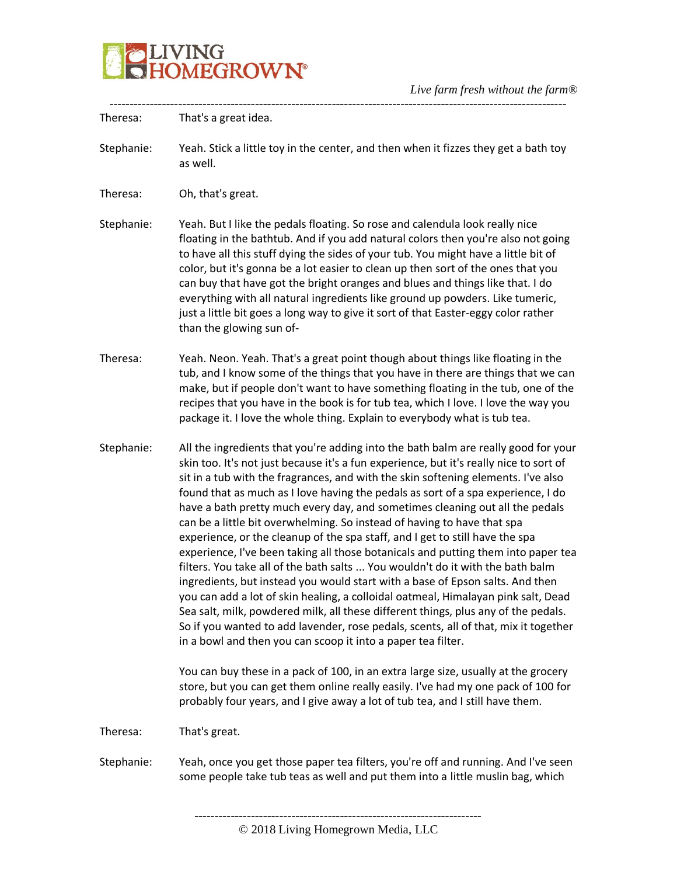

| Theresa:   | That's a great idea.                                                                                                                                                                                                                                                                                                                                                                                                                                                                                                                                                                                                                                                                                                                                                                                                                                                                                                                                                                                                                                                                                                                                                                       |
|------------|--------------------------------------------------------------------------------------------------------------------------------------------------------------------------------------------------------------------------------------------------------------------------------------------------------------------------------------------------------------------------------------------------------------------------------------------------------------------------------------------------------------------------------------------------------------------------------------------------------------------------------------------------------------------------------------------------------------------------------------------------------------------------------------------------------------------------------------------------------------------------------------------------------------------------------------------------------------------------------------------------------------------------------------------------------------------------------------------------------------------------------------------------------------------------------------------|
| Stephanie: | Yeah. Stick a little toy in the center, and then when it fizzes they get a bath toy<br>as well.                                                                                                                                                                                                                                                                                                                                                                                                                                                                                                                                                                                                                                                                                                                                                                                                                                                                                                                                                                                                                                                                                            |
| Theresa:   | Oh, that's great.                                                                                                                                                                                                                                                                                                                                                                                                                                                                                                                                                                                                                                                                                                                                                                                                                                                                                                                                                                                                                                                                                                                                                                          |
| Stephanie: | Yeah. But I like the pedals floating. So rose and calendula look really nice<br>floating in the bathtub. And if you add natural colors then you're also not going<br>to have all this stuff dying the sides of your tub. You might have a little bit of<br>color, but it's gonna be a lot easier to clean up then sort of the ones that you<br>can buy that have got the bright oranges and blues and things like that. I do<br>everything with all natural ingredients like ground up powders. Like tumeric,<br>just a little bit goes a long way to give it sort of that Easter-eggy color rather<br>than the glowing sun of-                                                                                                                                                                                                                                                                                                                                                                                                                                                                                                                                                            |
| Theresa:   | Yeah. Neon. Yeah. That's a great point though about things like floating in the<br>tub, and I know some of the things that you have in there are things that we can<br>make, but if people don't want to have something floating in the tub, one of the<br>recipes that you have in the book is for tub tea, which I love. I love the way you<br>package it. I love the whole thing. Explain to everybody what is tub tea.                                                                                                                                                                                                                                                                                                                                                                                                                                                                                                                                                                                                                                                                                                                                                                 |
| Stephanie: | All the ingredients that you're adding into the bath balm are really good for your<br>skin too. It's not just because it's a fun experience, but it's really nice to sort of<br>sit in a tub with the fragrances, and with the skin softening elements. I've also<br>found that as much as I love having the pedals as sort of a spa experience, I do<br>have a bath pretty much every day, and sometimes cleaning out all the pedals<br>can be a little bit overwhelming. So instead of having to have that spa<br>experience, or the cleanup of the spa staff, and I get to still have the spa<br>experience, I've been taking all those botanicals and putting them into paper tea<br>filters. You take all of the bath salts  You wouldn't do it with the bath balm<br>ingredients, but instead you would start with a base of Epson salts. And then<br>you can add a lot of skin healing, a colloidal oatmeal, Himalayan pink salt, Dead<br>Sea salt, milk, powdered milk, all these different things, plus any of the pedals.<br>So if you wanted to add lavender, rose pedals, scents, all of that, mix it together<br>in a bowl and then you can scoop it into a paper tea filter. |
|            | You can buy these in a pack of 100, in an extra large size, usually at the grocery<br>store, but you can get them online really easily. I've had my one pack of 100 for<br>probably four years, and I give away a lot of tub tea, and I still have them.                                                                                                                                                                                                                                                                                                                                                                                                                                                                                                                                                                                                                                                                                                                                                                                                                                                                                                                                   |
| Theresa:   | That's great.                                                                                                                                                                                                                                                                                                                                                                                                                                                                                                                                                                                                                                                                                                                                                                                                                                                                                                                                                                                                                                                                                                                                                                              |
| Stephanie: | Yeah, once you get those paper tea filters, you're off and running. And I've seen<br>some people take tub teas as well and put them into a little muslin bag, which                                                                                                                                                                                                                                                                                                                                                                                                                                                                                                                                                                                                                                                                                                                                                                                                                                                                                                                                                                                                                        |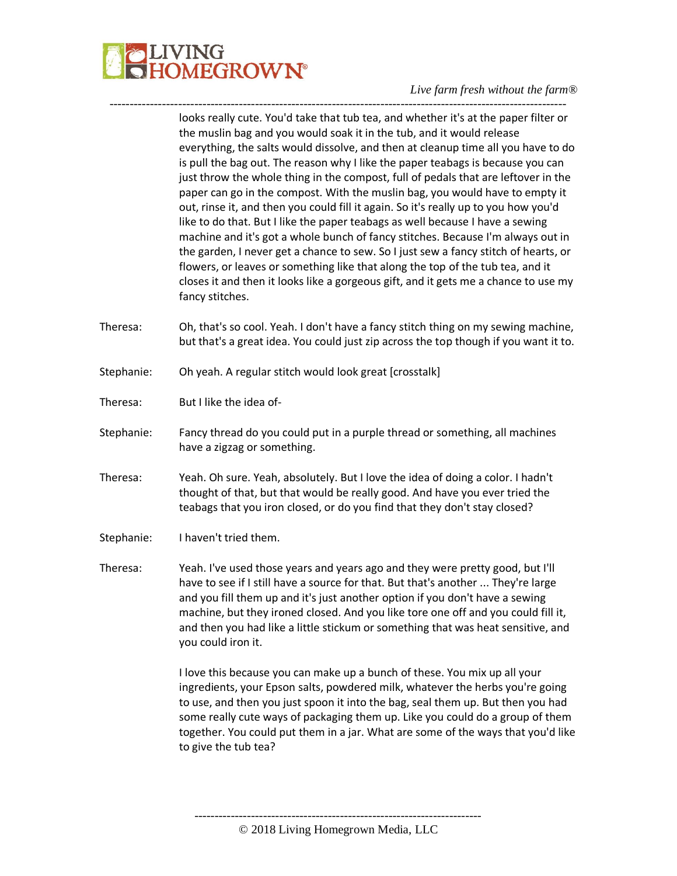

looks really cute. You'd take that tub tea, and whether it's at the paper filter or the muslin bag and you would soak it in the tub, and it would release everything, the salts would dissolve, and then at cleanup time all you have to do is pull the bag out. The reason why I like the paper teabags is because you can just throw the whole thing in the compost, full of pedals that are leftover in the paper can go in the compost. With the muslin bag, you would have to empty it out, rinse it, and then you could fill it again. So it's really up to you how you'd like to do that. But I like the paper teabags as well because I have a sewing machine and it's got a whole bunch of fancy stitches. Because I'm always out in the garden, I never get a chance to sew. So I just sew a fancy stitch of hearts, or flowers, or leaves or something like that along the top of the tub tea, and it closes it and then it looks like a gorgeous gift, and it gets me a chance to use my fancy stitches. Theresa: Oh, that's so cool. Yeah. I don't have a fancy stitch thing on my sewing machine, but that's a great idea. You could just zip across the top though if you want it to. Stephanie: Oh yeah. A regular stitch would look great [crosstalk] Theresa: But I like the idea of-Stephanie: Fancy thread do you could put in a purple thread or something, all machines have a zigzag or something. Theresa: Yeah. Oh sure. Yeah, absolutely. But I love the idea of doing a color. I hadn't thought of that, but that would be really good. And have you ever tried the teabags that you iron closed, or do you find that they don't stay closed? Stephanie: I haven't tried them. Theresa: Yeah. I've used those years and years ago and they were pretty good, but I'll have to see if I still have a source for that. But that's another ... They're large and you fill them up and it's just another option if you don't have a sewing machine, but they ironed closed. And you like tore one off and you could fill it, and then you had like a little stickum or something that was heat sensitive, and you could iron it. I love this because you can make up a bunch of these. You mix up all your ingredients, your Epson salts, powdered milk, whatever the herbs you're going to use, and then you just spoon it into the bag, seal them up. But then you had some really cute ways of packaging them up. Like you could do a group of them together. You could put them in a jar. What are some of the ways that you'd like to give the tub tea?

-----------------------------------------------------------------------------------------------------------------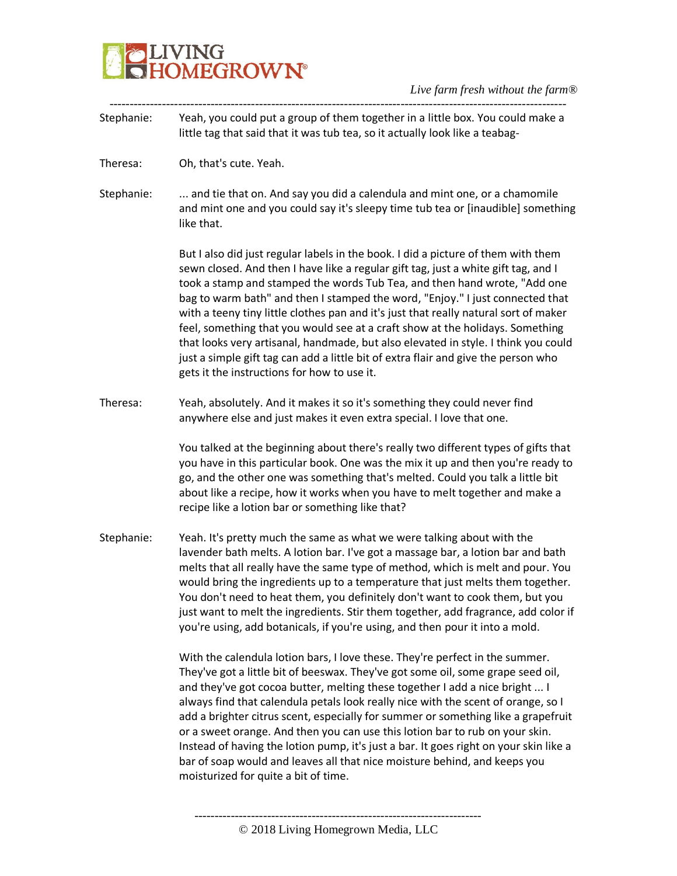# **BELIVING**<br>**BELIVING**<br> **BELIVING**

# *Live farm fresh without the farm®*

| Stephanie: | Yeah, you could put a group of them together in a little box. You could make a<br>little tag that said that it was tub tea, so it actually look like a teabag-                                                                                                                                                                                                                                                                                                                                                                                                                                                                                                                                                                            |
|------------|-------------------------------------------------------------------------------------------------------------------------------------------------------------------------------------------------------------------------------------------------------------------------------------------------------------------------------------------------------------------------------------------------------------------------------------------------------------------------------------------------------------------------------------------------------------------------------------------------------------------------------------------------------------------------------------------------------------------------------------------|
| Theresa:   | Oh, that's cute. Yeah.                                                                                                                                                                                                                                                                                                                                                                                                                                                                                                                                                                                                                                                                                                                    |
| Stephanie: | and tie that on. And say you did a calendula and mint one, or a chamomile<br>and mint one and you could say it's sleepy time tub tea or [inaudible] something<br>like that.                                                                                                                                                                                                                                                                                                                                                                                                                                                                                                                                                               |
|            | But I also did just regular labels in the book. I did a picture of them with them<br>sewn closed. And then I have like a regular gift tag, just a white gift tag, and I<br>took a stamp and stamped the words Tub Tea, and then hand wrote, "Add one<br>bag to warm bath" and then I stamped the word, "Enjoy." I just connected that<br>with a teeny tiny little clothes pan and it's just that really natural sort of maker<br>feel, something that you would see at a craft show at the holidays. Something<br>that looks very artisanal, handmade, but also elevated in style. I think you could<br>just a simple gift tag can add a little bit of extra flair and give the person who<br>gets it the instructions for how to use it. |
| Theresa:   | Yeah, absolutely. And it makes it so it's something they could never find<br>anywhere else and just makes it even extra special. I love that one.                                                                                                                                                                                                                                                                                                                                                                                                                                                                                                                                                                                         |
|            | You talked at the beginning about there's really two different types of gifts that<br>you have in this particular book. One was the mix it up and then you're ready to<br>go, and the other one was something that's melted. Could you talk a little bit<br>about like a recipe, how it works when you have to melt together and make a<br>recipe like a lotion bar or something like that?                                                                                                                                                                                                                                                                                                                                               |
| Stephanie: | Yeah. It's pretty much the same as what we were talking about with the<br>lavender bath melts. A lotion bar. I've got a massage bar, a lotion bar and bath<br>melts that all really have the same type of method, which is melt and pour. You<br>would bring the ingredients up to a temperature that just melts them together.<br>You don't need to heat them, you definitely don't want to cook them, but you<br>just want to melt the ingredients. Stir them together, add fragrance, add color if<br>you're using, add botanicals, if you're using, and then pour it into a mold.                                                                                                                                                     |
|            | With the calendula lotion bars, I love these. They're perfect in the summer.<br>They've got a little bit of beeswax. They've got some oil, some grape seed oil,<br>and they've got cocoa butter, melting these together I add a nice bright  I<br>always find that calendula petals look really nice with the scent of orange, so I<br>add a brighter citrus scent, especially for summer or something like a grapefruit<br>or a sweet orange. And then you can use this lotion bar to rub on your skin.<br>Instead of having the lotion pump, it's just a bar. It goes right on your skin like a<br>bar of soap would and leaves all that nice moisture behind, and keeps you<br>moisturized for quite a bit of time.                    |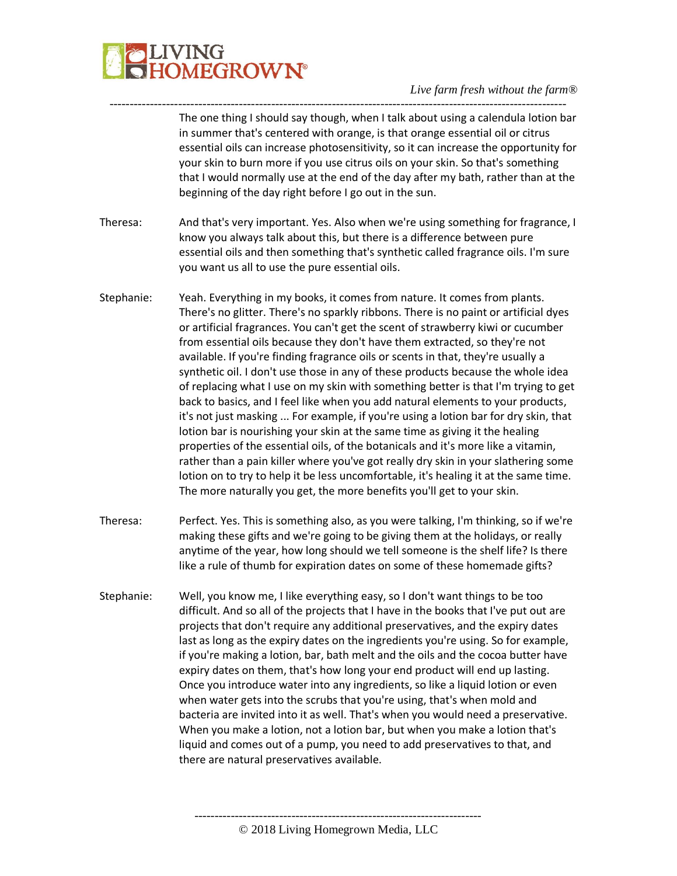

----------------------------------------------------------------------------------------------------------------- The one thing I should say though, when I talk about using a calendula lotion bar in summer that's centered with orange, is that orange essential oil or citrus essential oils can increase photosensitivity, so it can increase the opportunity for your skin to burn more if you use citrus oils on your skin. So that's something that I would normally use at the end of the day after my bath, rather than at the beginning of the day right before I go out in the sun.

- Theresa: And that's very important. Yes. Also when we're using something for fragrance, I know you always talk about this, but there is a difference between pure essential oils and then something that's synthetic called fragrance oils. I'm sure you want us all to use the pure essential oils.
- Stephanie: Yeah. Everything in my books, it comes from nature. It comes from plants. There's no glitter. There's no sparkly ribbons. There is no paint or artificial dyes or artificial fragrances. You can't get the scent of strawberry kiwi or cucumber from essential oils because they don't have them extracted, so they're not available. If you're finding fragrance oils or scents in that, they're usually a synthetic oil. I don't use those in any of these products because the whole idea of replacing what I use on my skin with something better is that I'm trying to get back to basics, and I feel like when you add natural elements to your products, it's not just masking ... For example, if you're using a lotion bar for dry skin, that lotion bar is nourishing your skin at the same time as giving it the healing properties of the essential oils, of the botanicals and it's more like a vitamin, rather than a pain killer where you've got really dry skin in your slathering some lotion on to try to help it be less uncomfortable, it's healing it at the same time. The more naturally you get, the more benefits you'll get to your skin.
- Theresa: Perfect. Yes. This is something also, as you were talking, I'm thinking, so if we're making these gifts and we're going to be giving them at the holidays, or really anytime of the year, how long should we tell someone is the shelf life? Is there like a rule of thumb for expiration dates on some of these homemade gifts?
- Stephanie: Well, you know me, I like everything easy, so I don't want things to be too difficult. And so all of the projects that I have in the books that I've put out are projects that don't require any additional preservatives, and the expiry dates last as long as the expiry dates on the ingredients you're using. So for example, if you're making a lotion, bar, bath melt and the oils and the cocoa butter have expiry dates on them, that's how long your end product will end up lasting. Once you introduce water into any ingredients, so like a liquid lotion or even when water gets into the scrubs that you're using, that's when mold and bacteria are invited into it as well. That's when you would need a preservative. When you make a lotion, not a lotion bar, but when you make a lotion that's liquid and comes out of a pump, you need to add preservatives to that, and there are natural preservatives available.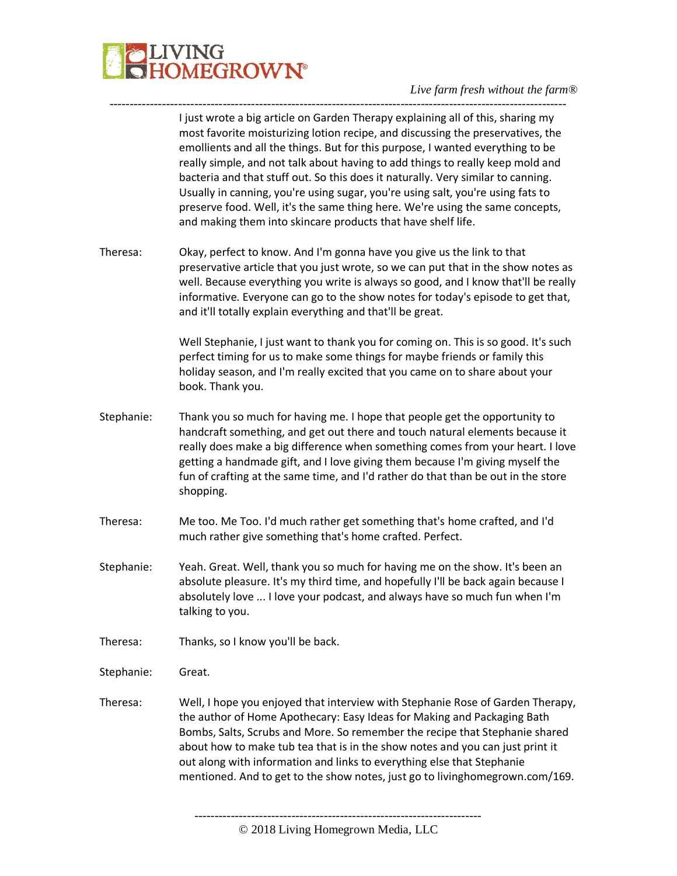

I just wrote a big article on Garden Therapy explaining all of this, sharing my most favorite moisturizing lotion recipe, and discussing the preservatives, the emollients and all the things. But for this purpose, I wanted everything to be really simple, and not talk about having to add things to really keep mold and bacteria and that stuff out. So this does it naturally. Very similar to canning. Usually in canning, you're using sugar, you're using salt, you're using fats to preserve food. Well, it's the same thing here. We're using the same concepts, and making them into skincare products that have shelf life.

Theresa: Okay, perfect to know. And I'm gonna have you give us the link to that preservative article that you just wrote, so we can put that in the show notes as well. Because everything you write is always so good, and I know that'll be really informative. Everyone can go to the show notes for today's episode to get that, and it'll totally explain everything and that'll be great.

-----------------------------------------------------------------------------------------------------------------

Well Stephanie, I just want to thank you for coming on. This is so good. It's such perfect timing for us to make some things for maybe friends or family this holiday season, and I'm really excited that you came on to share about your book. Thank you.

- Stephanie: Thank you so much for having me. I hope that people get the opportunity to handcraft something, and get out there and touch natural elements because it really does make a big difference when something comes from your heart. I love getting a handmade gift, and I love giving them because I'm giving myself the fun of crafting at the same time, and I'd rather do that than be out in the store shopping.
- Theresa: Me too. Me Too. I'd much rather get something that's home crafted, and I'd much rather give something that's home crafted. Perfect.
- Stephanie: Yeah. Great. Well, thank you so much for having me on the show. It's been an absolute pleasure. It's my third time, and hopefully I'll be back again because I absolutely love ... I love your podcast, and always have so much fun when I'm talking to you.
- Theresa: Thanks, so I know you'll be back.
- Stephanie: Great.
- Theresa: Well, I hope you enjoyed that interview with Stephanie Rose of Garden Therapy, the author of Home Apothecary: Easy Ideas for Making and Packaging Bath Bombs, Salts, Scrubs and More. So remember the recipe that Stephanie shared about how to make tub tea that is in the show notes and you can just print it out along with information and links to everything else that Stephanie mentioned. And to get to the show notes, just go to livinghomegrown.com/169.